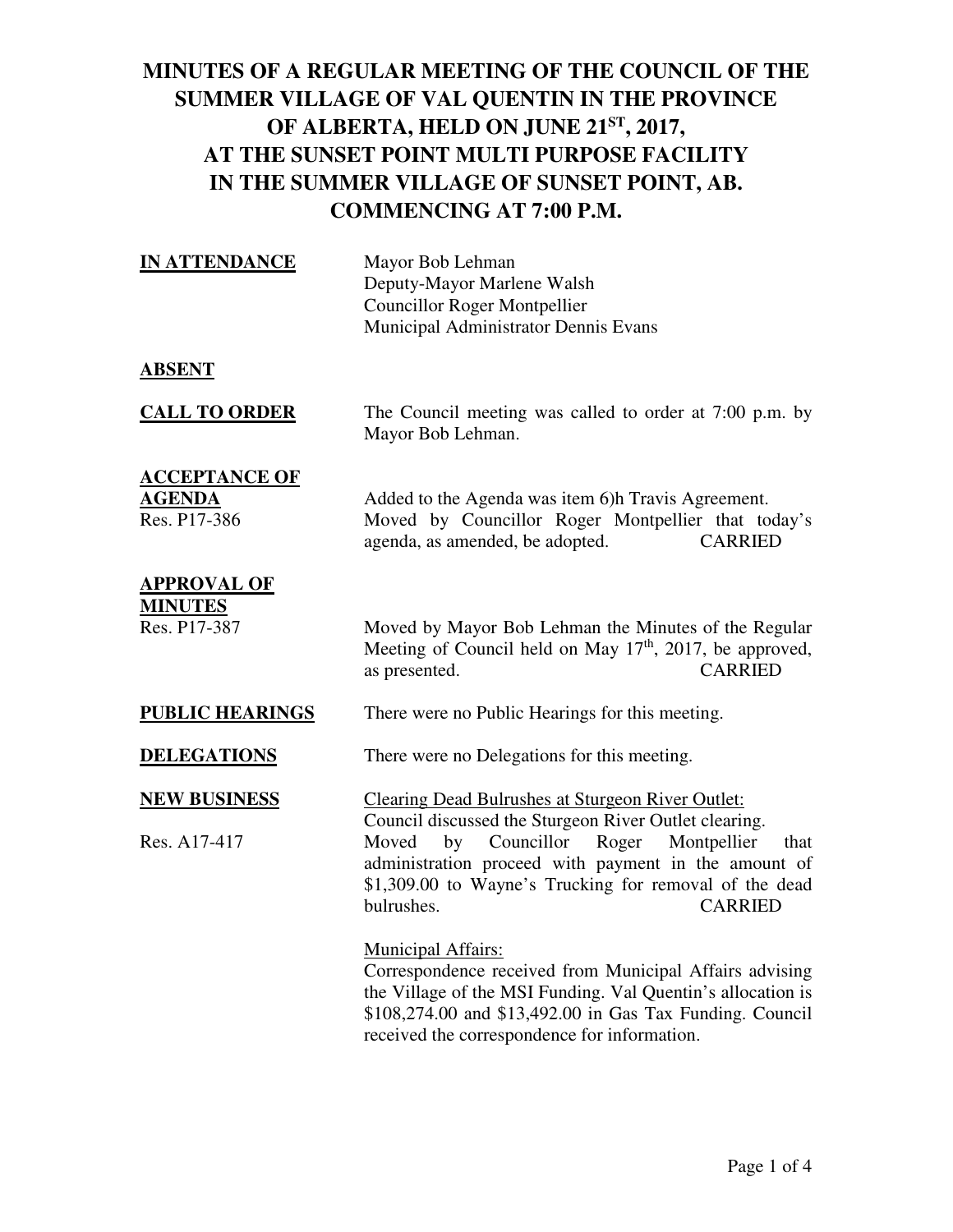| <b>IN ATTENDANCE</b>                                  | Mayor Bob Lehman<br>Deputy-Mayor Marlene Walsh<br><b>Councillor Roger Montpellier</b><br>Municipal Administrator Dennis Evans                                                                                                                                                                                                    |
|-------------------------------------------------------|----------------------------------------------------------------------------------------------------------------------------------------------------------------------------------------------------------------------------------------------------------------------------------------------------------------------------------|
| <b>ABSENT</b>                                         |                                                                                                                                                                                                                                                                                                                                  |
| <b>CALL TO ORDER</b>                                  | The Council meeting was called to order at 7:00 p.m. by<br>Mayor Bob Lehman.                                                                                                                                                                                                                                                     |
| <b>ACCEPTANCE OF</b><br><b>AGENDA</b><br>Res. P17-386 | Added to the Agenda was item 6)h Travis Agreement.<br>Moved by Councillor Roger Montpellier that today's<br>agenda, as amended, be adopted.<br><b>CARRIED</b>                                                                                                                                                                    |
| <b>APPROVAL OF</b><br><b>MINUTES</b><br>Res. P17-387  | Moved by Mayor Bob Lehman the Minutes of the Regular<br>Meeting of Council held on May $17th$ , 2017, be approved,<br><b>CARRIED</b><br>as presented.                                                                                                                                                                            |
| <b>PUBLIC HEARINGS</b>                                | There were no Public Hearings for this meeting.                                                                                                                                                                                                                                                                                  |
| <b>DELEGATIONS</b>                                    | There were no Delegations for this meeting.                                                                                                                                                                                                                                                                                      |
| <b>NEW BUSINESS</b><br>Res. A17-417                   | <b>Clearing Dead Bulrushes at Sturgeon River Outlet:</b><br>Council discussed the Sturgeon River Outlet clearing.<br>Councillor<br>Roger<br>Montpellier<br>Moved<br>by<br>that<br>administration proceed with payment in the amount of<br>\$1,309.00 to Wayne's Trucking for removal of the dead<br>bulrushes.<br><b>CARRIED</b> |
|                                                       | <b>Municipal Affairs:</b><br>$C$ experience denote negative d fuero Municipal Affective education                                                                                                                                                                                                                                |

 Correspondence received from Municipal Affairs advising the Village of the MSI Funding. Val Quentin's allocation is \$108,274.00 and \$13,492.00 in Gas Tax Funding. Council received the correspondence for information.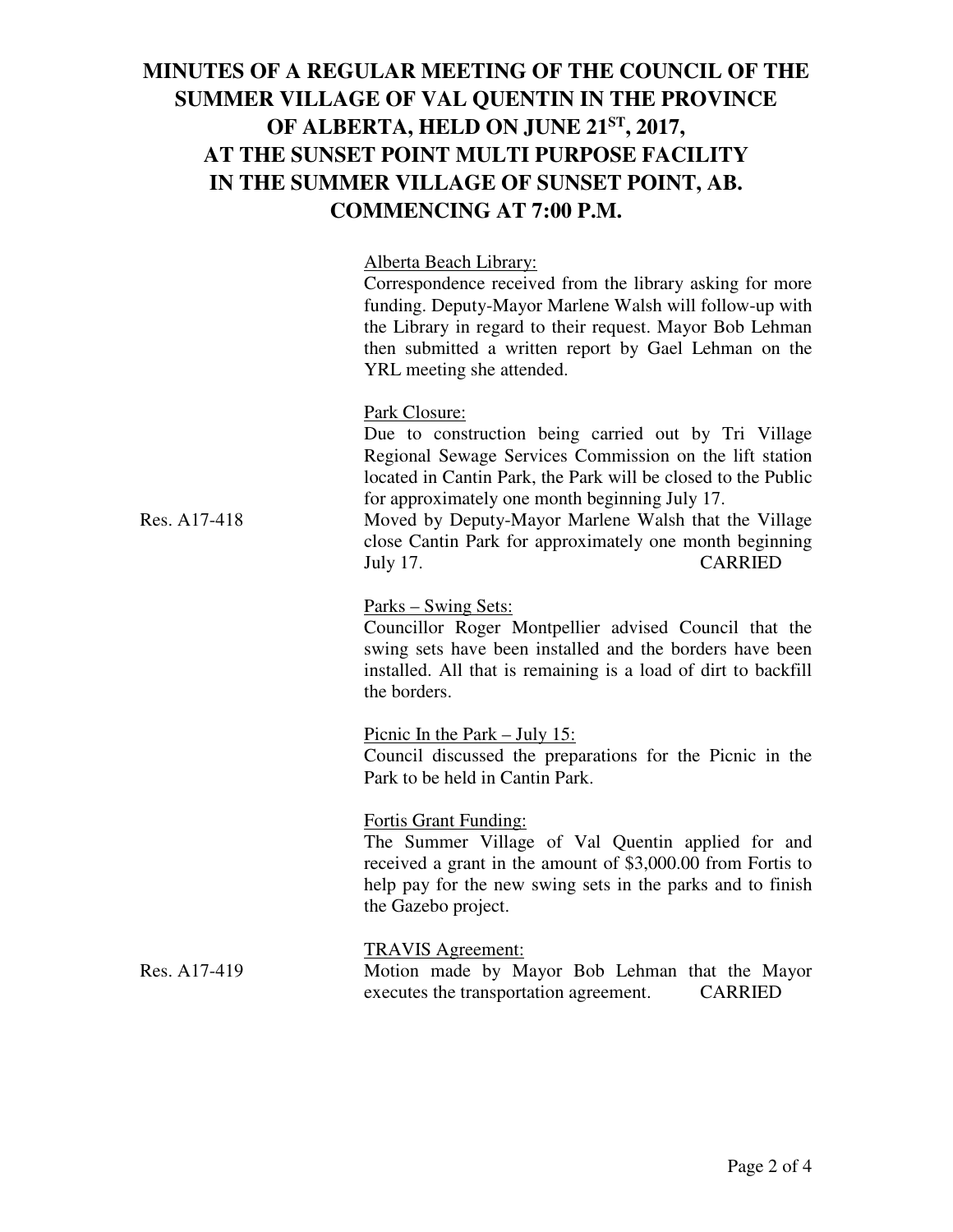### Alberta Beach Library:

 Correspondence received from the library asking for more funding. Deputy-Mayor Marlene Walsh will follow-up with the Library in regard to their request. Mayor Bob Lehman then submitted a written report by Gael Lehman on the YRL meeting she attended.

#### Park Closure:

 Due to construction being carried out by Tri Village Regional Sewage Services Commission on the lift station located in Cantin Park, the Park will be closed to the Public for approximately one month beginning July 17.

Res. A17-418 Moved by Deputy-Mayor Marlene Walsh that the Village close Cantin Park for approximately one month beginning July 17. CARRIED

### Parks – Swing Sets:

 Councillor Roger Montpellier advised Council that the swing sets have been installed and the borders have been installed. All that is remaining is a load of dirt to backfill the borders.

Picnic In the Park – July 15: Council discussed the preparations for the Picnic in the Park to be held in Cantin Park.

### Fortis Grant Funding:

 The Summer Village of Val Quentin applied for and received a grant in the amount of \$3,000.00 from Fortis to help pay for the new swing sets in the parks and to finish the Gazebo project.

TRAVIS Agreement: Res. A17-419 Motion made by Mayor Bob Lehman that the Mayor executes the transportation agreement. CARRIED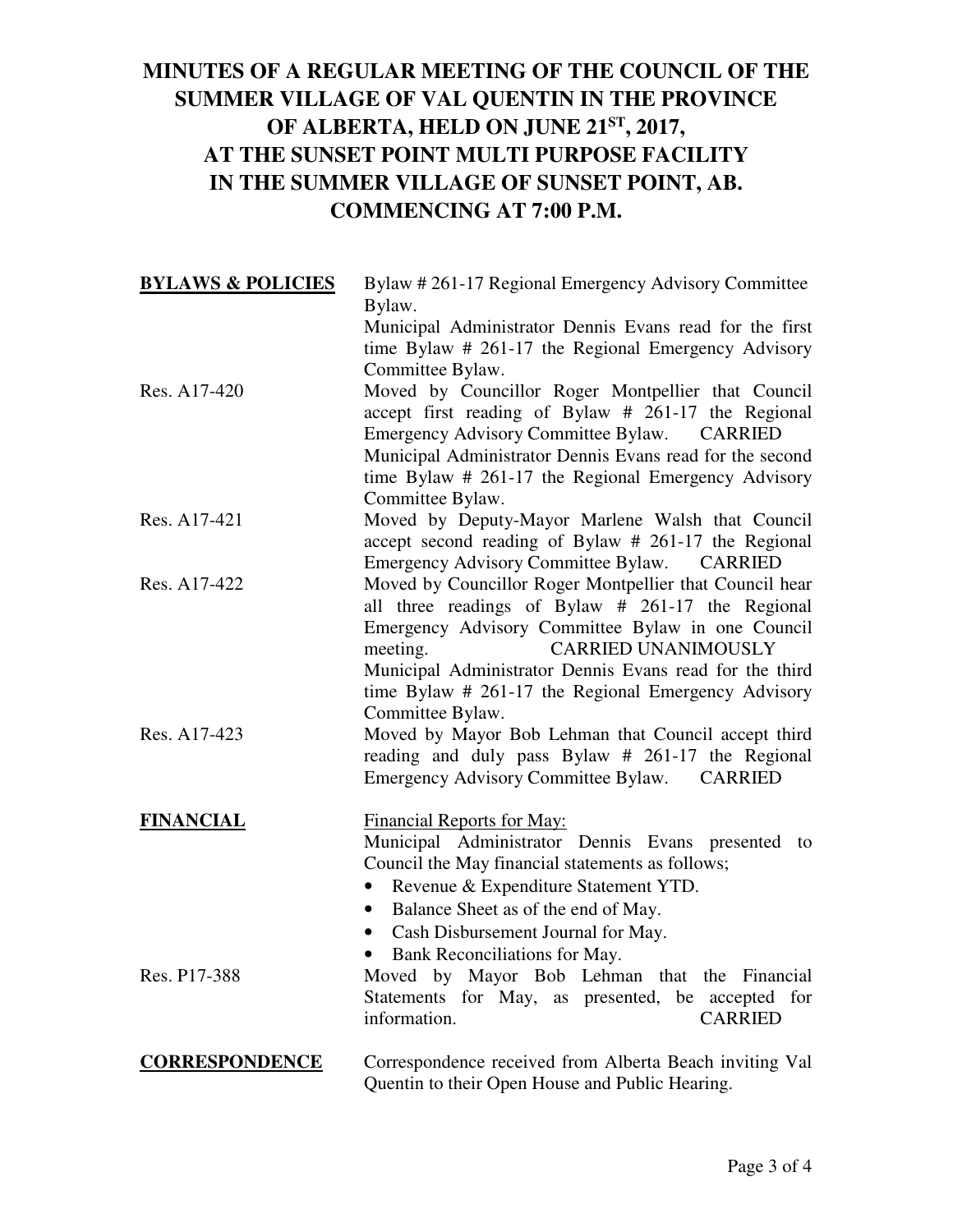| <b>BYLAWS &amp; POLICIES</b> | Bylaw #261-17 Regional Emergency Advisory Committee<br>Bylaw.                                                                                                                                                                                                                                                                                     |
|------------------------------|---------------------------------------------------------------------------------------------------------------------------------------------------------------------------------------------------------------------------------------------------------------------------------------------------------------------------------------------------|
|                              | Municipal Administrator Dennis Evans read for the first<br>time Bylaw # 261-17 the Regional Emergency Advisory<br>Committee Bylaw.                                                                                                                                                                                                                |
| Res. A17-420                 | Moved by Councillor Roger Montpellier that Council<br>accept first reading of Bylaw # 261-17 the Regional<br>Emergency Advisory Committee Bylaw. CARRIED<br>Municipal Administrator Dennis Evans read for the second<br>time Bylaw # 261-17 the Regional Emergency Advisory<br>Committee Bylaw.                                                   |
| Res. A17-421                 | Moved by Deputy-Mayor Marlene Walsh that Council<br>accept second reading of Bylaw # 261-17 the Regional<br>Emergency Advisory Committee Bylaw.<br>CARRIED                                                                                                                                                                                        |
| Res. A17-422                 | Moved by Councillor Roger Montpellier that Council hear<br>all three readings of Bylaw # 261-17 the Regional<br>Emergency Advisory Committee Bylaw in one Council<br><b>CARRIED UNANIMOUSLY</b><br>meeting.<br>Municipal Administrator Dennis Evans read for the third<br>time Bylaw # 261-17 the Regional Emergency Advisory<br>Committee Bylaw. |
| Res. A17-423                 | Moved by Mayor Bob Lehman that Council accept third<br>reading and duly pass Bylaw # 261-17 the Regional<br>Emergency Advisory Committee Bylaw.<br><b>CARRIED</b>                                                                                                                                                                                 |
| <b>FINANCIAL</b>             | <b>Financial Reports for May:</b><br>Municipal Administrator Dennis Evans presented<br>to<br>Council the May financial statements as follows;<br>Revenue & Expenditure Statement YTD.<br>Balance Sheet as of the end of May.<br>$\bullet$<br>• Cash Disbursement Journal for May.<br>Bank Reconciliations for May.<br>$\bullet$                   |
| Res. P17-388                 | Moved by Mayor Bob Lehman that the Financial<br>Statements for May, as presented, be accepted for<br>information.<br><b>CARRIED</b>                                                                                                                                                                                                               |
| <b>CORRESPONDENCE</b>        | Correspondence received from Alberta Beach inviting Val<br>Quentin to their Open House and Public Hearing.                                                                                                                                                                                                                                        |